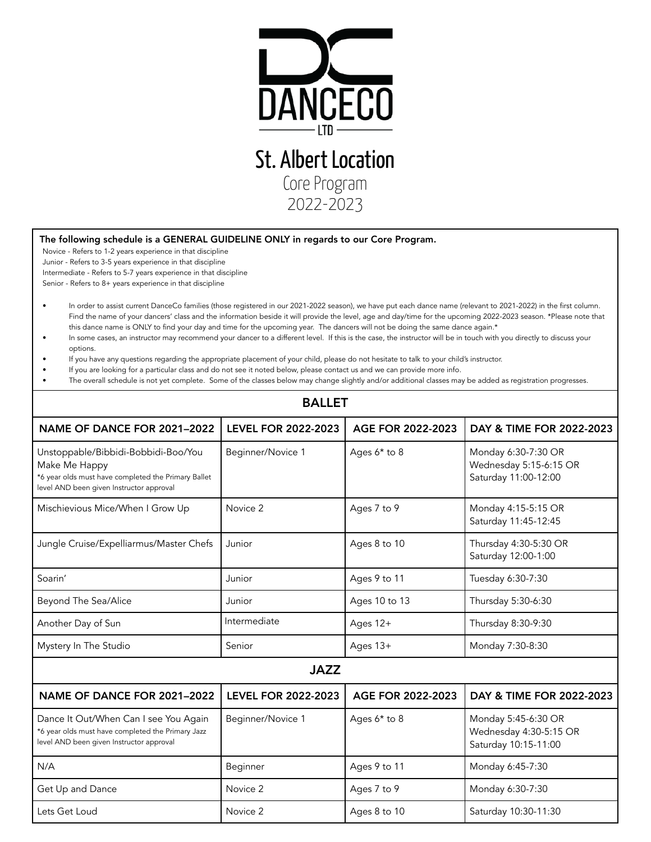

## The following schedule is a GENERAL GUIDELINE ONLY in regards to our Core Program.

Novice - Refers to 1-2 years experience in that discipline

Junior - Refers to 3-5 years experience in that discipline Intermediate - Refers to 5-7 years experience in that discipline Senior - Refers to 8+ years experience in that discipline

- In order to assist current DanceCo families (those registered in our 2021-2022 season), we have put each dance name (relevant to 2021-2022) in the first column. Find the name of your dancers' class and the information beside it will provide the level, age and day/time for the upcoming 2022-2023 season. \*Please note that this dance name is ONLY to find your day and time for the upcoming year. The dancers will not be doing the same dance again.\*
- In some cases, an instructor may recommend your dancer to a different level. If this is the case, the instructor will be in touch with you directly to discuss your options.
- If you have any questions regarding the appropriate placement of your child, please do not hesitate to talk to your child's instructor.
- If you are looking for a particular class and do not see it noted below, please contact us and we can provide more info.
- The overall schedule is not yet complete. Some of the classes below may change slightly and/or additional classes may be added as registration progresses.

BALLET

| <b>DALLEI</b>                                                                                                                                           |                            |                   |                                                                       |  |  |
|---------------------------------------------------------------------------------------------------------------------------------------------------------|----------------------------|-------------------|-----------------------------------------------------------------------|--|--|
| NAME OF DANCE FOR 2021-2022                                                                                                                             | <b>LEVEL FOR 2022-2023</b> | AGE FOR 2022-2023 | DAY & TIME FOR 2022-2023                                              |  |  |
| Unstoppable/Bibbidi-Bobbidi-Boo/You<br>Make Me Happy<br>*6 year olds must have completed the Primary Ballet<br>level AND been given Instructor approval | Beginner/Novice 1          | Ages 6* to 8      | Monday 6:30-7:30 OR<br>Wednesday 5:15-6:15 OR<br>Saturday 11:00-12:00 |  |  |
| Mischievious Mice/When I Grow Up                                                                                                                        | Novice 2                   | Ages 7 to 9       | Monday 4:15-5:15 OR<br>Saturday 11:45-12:45                           |  |  |
| Jungle Cruise/Expelliarmus/Master Chefs                                                                                                                 | Junior                     | Ages 8 to 10      | Thursday 4:30-5:30 OR<br>Saturday 12:00-1:00                          |  |  |
| Soarin'                                                                                                                                                 | Junior                     | Ages 9 to 11      | Tuesday 6:30-7:30                                                     |  |  |
| Beyond The Sea/Alice                                                                                                                                    | Junior                     | Ages 10 to 13     | Thursday 5:30-6:30                                                    |  |  |
| Another Day of Sun                                                                                                                                      | Intermediate               | Ages 12+          | Thursday 8:30-9:30                                                    |  |  |
| Mystery In The Studio                                                                                                                                   | Senior                     | Ages 13+          | Monday 7:30-8:30                                                      |  |  |
| <b>JAZZ</b>                                                                                                                                             |                            |                   |                                                                       |  |  |
| NAME OF DANCE FOR 2021-2022                                                                                                                             | <b>LEVEL FOR 2022-2023</b> | AGE FOR 2022-2023 | DAY & TIME FOR 2022-2023                                              |  |  |
| Dance It Out/When Can I see You Again<br>*6 year olds must have completed the Primary Jazz<br>level AND been given Instructor approval                  | Beginner/Novice 1          | Ages $6*$ to 8    | Monday 5:45-6:30 OR<br>Wednesday 4:30-5:15 OR<br>Saturday 10:15-11:00 |  |  |
| N/A                                                                                                                                                     | Beginner                   | Ages 9 to 11      | Monday 6:45-7:30                                                      |  |  |
| Get Up and Dance                                                                                                                                        | Novice 2                   | Ages 7 to 9       | Monday 6:30-7:30                                                      |  |  |
| Lets Get Loud                                                                                                                                           | Novice 2                   | Ages 8 to 10      | Saturday 10:30-11:30                                                  |  |  |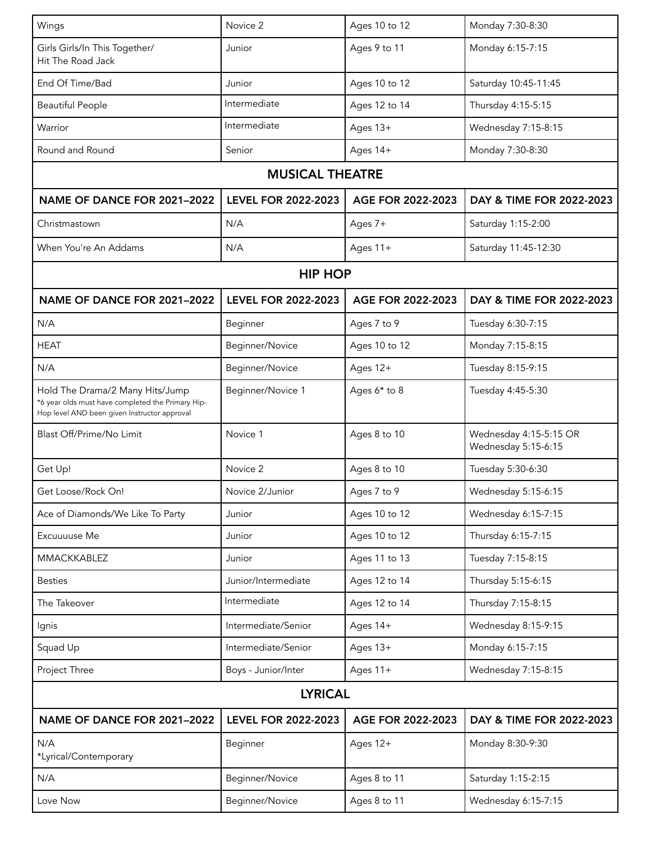| Wings                                                                                                                                | Novice 2                   | Ages 10 to 12     | Monday 7:30-8:30                              |  |  |
|--------------------------------------------------------------------------------------------------------------------------------------|----------------------------|-------------------|-----------------------------------------------|--|--|
| Girls Girls/In This Together/<br>Hit The Road Jack                                                                                   | Junior                     | Ages 9 to 11      | Monday 6:15-7:15                              |  |  |
| End Of Time/Bad                                                                                                                      | Junior                     | Ages 10 to 12     | Saturday 10:45-11:45                          |  |  |
| <b>Beautiful People</b>                                                                                                              | Intermediate               | Ages 12 to 14     | Thursday 4:15-5:15                            |  |  |
| Warrior                                                                                                                              | Intermediate               | Ages 13+          | Wednesday 7:15-8:15                           |  |  |
| Round and Round                                                                                                                      | Senior                     | Ages 14+          | Monday 7:30-8:30                              |  |  |
| <b>MUSICAL THEATRE</b>                                                                                                               |                            |                   |                                               |  |  |
| NAME OF DANCE FOR 2021-2022                                                                                                          | <b>LEVEL FOR 2022-2023</b> | AGE FOR 2022-2023 | DAY & TIME FOR 2022-2023                      |  |  |
| Christmastown                                                                                                                        | N/A                        | Ages 7+           | Saturday 1:15-2:00                            |  |  |
| When You're An Addams                                                                                                                | N/A                        | Ages 11+          | Saturday 11:45-12:30                          |  |  |
| <b>HIP HOP</b>                                                                                                                       |                            |                   |                                               |  |  |
| NAME OF DANCE FOR 2021-2022                                                                                                          | <b>LEVEL FOR 2022-2023</b> | AGE FOR 2022-2023 | DAY & TIME FOR 2022-2023                      |  |  |
| N/A                                                                                                                                  | Beginner                   | Ages 7 to 9       | Tuesday 6:30-7:15                             |  |  |
| <b>HEAT</b>                                                                                                                          | Beginner/Novice            | Ages 10 to 12     | Monday 7:15-8:15                              |  |  |
| N/A                                                                                                                                  | Beginner/Novice            | Ages 12+          | Tuesday 8:15-9:15                             |  |  |
| Hold The Drama/2 Many Hits/Jump<br>*6 year olds must have completed the Primary Hip-<br>Hop level AND been given Instructor approval | Beginner/Novice 1          | Ages 6* to 8      | Tuesday 4:45-5:30                             |  |  |
| Blast Off/Prime/No Limit                                                                                                             | Novice 1                   | Ages 8 to 10      | Wednesday 4:15-5:15 OR<br>Wednesday 5:15-6:15 |  |  |
| Get Up!                                                                                                                              | Novice 2                   | Ages 8 to 10      | Tuesday 5:30-6:30                             |  |  |
| Get Loose/Rock On!                                                                                                                   | Novice 2/Junior            | Ages 7 to 9       | Wednesday 5:15-6:15                           |  |  |
| Ace of Diamonds/We Like To Party                                                                                                     | Junior                     | Ages 10 to 12     | Wednesday 6:15-7:15                           |  |  |
| Excuuuuse Me                                                                                                                         | Junior                     | Ages 10 to 12     | Thursday 6:15-7:15                            |  |  |
| <b>MMACKKABLEZ</b>                                                                                                                   | Junior                     | Ages 11 to 13     | Tuesday 7:15-8:15                             |  |  |
| <b>Besties</b>                                                                                                                       | Junior/Intermediate        | Ages 12 to 14     | Thursday 5:15-6:15                            |  |  |
| The Takeover                                                                                                                         | Intermediate               | Ages 12 to 14     | Thursday 7:15-8:15                            |  |  |
| Ignis                                                                                                                                | Intermediate/Senior        | Ages 14+          | Wednesday 8:15-9:15                           |  |  |
| Squad Up                                                                                                                             | Intermediate/Senior        | Ages 13+          | Monday 6:15-7:15                              |  |  |
| Project Three                                                                                                                        | Boys - Junior/Inter        | Ages 11+          | Wednesday 7:15-8:15                           |  |  |
| <b>LYRICAL</b>                                                                                                                       |                            |                   |                                               |  |  |
| NAME OF DANCE FOR 2021-2022                                                                                                          | <b>LEVEL FOR 2022-2023</b> | AGE FOR 2022-2023 | DAY & TIME FOR 2022-2023                      |  |  |
| N/A<br>*Lyrical/Contemporary                                                                                                         | Beginner                   | Ages 12+          | Monday 8:30-9:30                              |  |  |
| N/A                                                                                                                                  | Beginner/Novice            | Ages 8 to 11      | Saturday 1:15-2:15                            |  |  |
| Love Now                                                                                                                             | Beginner/Novice            | Ages 8 to 11      | Wednesday 6:15-7:15                           |  |  |